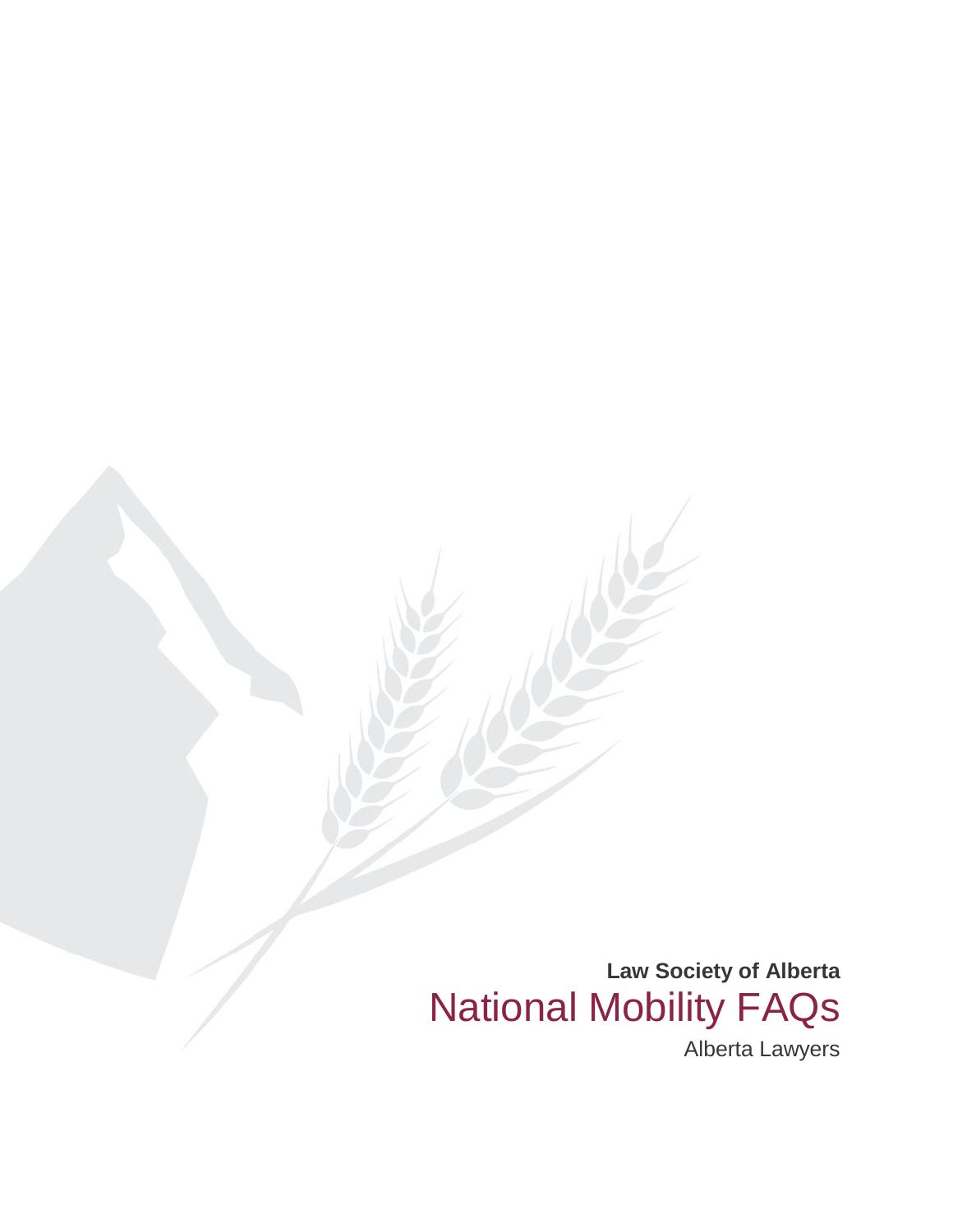**Law Society of Alberta** National Mobility FAQs

Alberta Lawyers